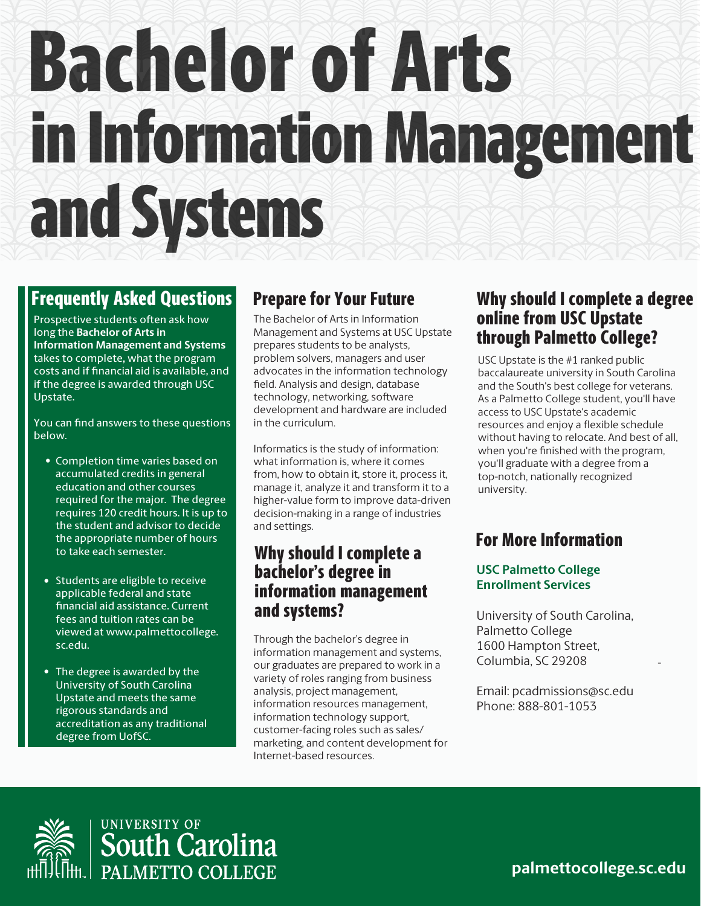# Bachelor of Arts in Information Management and Systems

## Prepare for Your Future

### Why should I complete a bachelor's degree in information management and systems?

### Why should I complete a degree online from USC Upstate through Palmetto College?

-

## Frequently Asked Questions

**palmettocollege.sc.edu**

The Bachelor of Arts in Information Management and Systems at USC Upstate prepares students to be analysts, problem solvers, managers and user advocates in the information technology field. Analysis and design, database technology, networking, software development and hardware are included in the curriculum.

Prospective students often ask how long the **Bachelor of Arts in Information Management and Systems**  takes to complete**,** what the program costs and if nancial aid is available, and if the degree is awarded through USC Upstate.

> Informatics is the study of information: what information is, where it comes from, how to obtain it, store it, process it, manage it, analyze it and transform it to a higher-value form to improve data-driven decision-making in a range of industries and settings.

You can find answers to these questions below.

• Completion time varies based on accumulated credits in general education and other courses required for the major. The degree requires 120 credit hours. It is up to the student and advisor to decide the appropriate number of hours to take each semester.

> Through the bachelor's degree in information management and systems, our graduates are prepared to work in a variety of roles ranging from business analysis, project management, information resources management, information technology support, customer-facing roles such as sales/ marketing, and content development for Internet-based resources.

- Students are eligible to receive applicable federal and state nancial aid assistance. Current fees and tuition rates can be viewed at www.palmettocollege. sc.edu.
- The degree is awarded by the University of South Carolina Upstate and meets the same rigorous standards and accreditation as any traditional degree from UofSC.

For More Information

USC Upstate is the #1 ranked public baccalaureate university in South Carolina and the South's best college for veterans. As a Palmetto College student, you'll have access to USC Upstate's academic resources and enjoy a flexible schedule without having to relocate. And best of all, when you're finished with the program, you'll graduate with a degree from a top-notch, nationally recognized university.

#### **USC Palmetto College Enrollment Services**

University of South Carolina, Palmetto College 1600 Hampton Street, Columbia, SC 29208

Email: pcadmissions@sc.edu Phone: 888-801-1053